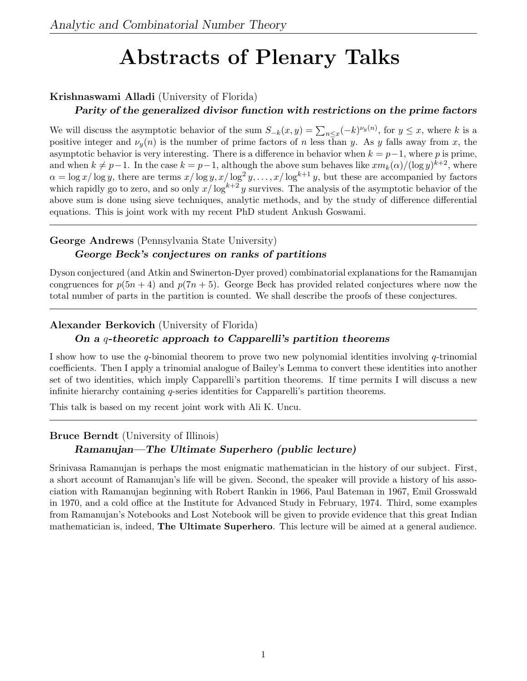# Abstracts of Plenary Talks

## Krishnaswami Alladi (University of Florida)

#### Parity of the generalized divisor function with restrictions on the prime factors

We will discuss the asymptotic behavior of the sum  $S_{-k}(x,y) = \sum_{n \leq x} (-k)^{\nu_y(n)}$ , for  $y \leq x$ , where k is a positive integer and  $\nu_u(n)$  is the number of prime factors of n less than y. As y falls away from x, the asymptotic behavior is very interesting. There is a difference in behavior when  $k = p-1$ , where p is prime, and when  $k \neq p-1$ . In the case  $k = p-1$ , although the above sum behaves like  $xm_k(\alpha)/(\log y)^{k+2}$ , where  $\alpha = \log x / \log y$ , there are terms  $x / \log y, x / \log^2 y, \ldots, x / \log^{k+1} y$ , but these are accompanied by factors which rapidly go to zero, and so only  $x/\log^{k+2} y$  survives. The analysis of the asymptotic behavior of the above sum is done using sieve techniques, analytic methods, and by the study of difference differential equations. This is joint work with my recent PhD student Ankush Goswami.

## George Andrews (Pennsylvania State University) George Beck's conjectures on ranks of partitions

Dyson conjectured (and Atkin and Swinerton-Dyer proved) combinatorial explanations for the Ramanujan congruences for  $p(5n + 4)$  and  $p(7n + 5)$ . George Beck has provided related conjectures where now the

total number of parts in the partition is counted. We shall describe the proofs of these conjectures.

## Alexander Berkovich (University of Florida)

## On a q-theoretic approach to Capparelli's partition theorems

I show how to use the q-binomial theorem to prove two new polynomial identities involving q-trinomial coefficients. Then I apply a trinomial analogue of Bailey's Lemma to convert these identities into another set of two identities, which imply Capparelli's partition theorems. If time permits I will discuss a new infinite hierarchy containing q-series identities for Capparelli's partition theorems.

This talk is based on my recent joint work with Ali K. Uncu.

## Bruce Berndt (University of Illinois) Ramanujan—The Ultimate Superhero (public lecture)

Srinivasa Ramanujan is perhaps the most enigmatic mathematician in the history of our subject. First, a short account of Ramanujan's life will be given. Second, the speaker will provide a history of his association with Ramanujan beginning with Robert Rankin in 1966, Paul Bateman in 1967, Emil Grosswald in 1970, and a cold office at the Institute for Advanced Study in February, 1974. Third, some examples from Ramanujan's Notebooks and Lost Notebook will be given to provide evidence that this great Indian mathematician is, indeed, **The Ultimate Superhero**. This lecture will be aimed at a general audience.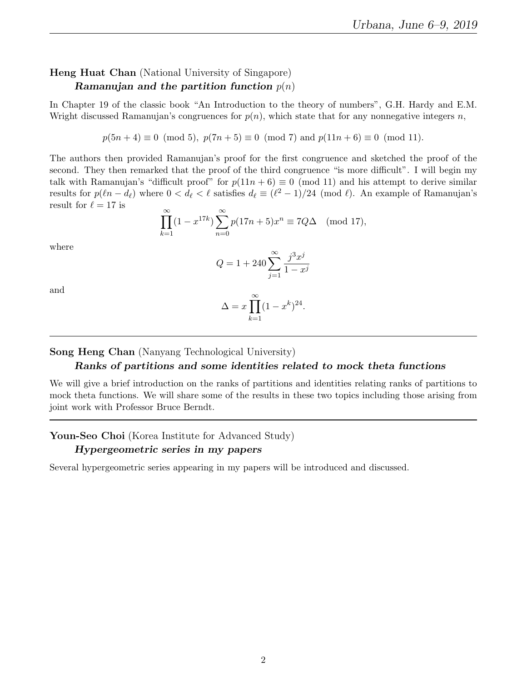## Heng Huat Chan (National University of Singapore) Ramanujan and the partition function  $p(n)$

In Chapter 19 of the classic book "An Introduction to the theory of numbers", G.H. Hardy and E.M. Wright discussed Ramanujan's congruences for  $p(n)$ , which state that for any nonnegative integers n,

 $p(5n + 4) \equiv 0 \pmod{5}$ ,  $p(7n + 5) \equiv 0 \pmod{7}$  and  $p(11n + 6) \equiv 0 \pmod{11}$ .

The authors then provided Ramanujan's proof for the first congruence and sketched the proof of the second. They then remarked that the proof of the third congruence "is more difficult". I will begin my talk with Ramanujan's "difficult proof" for  $p(11n + 6) \equiv 0 \pmod{11}$  and his attempt to derive similar results for  $p(\ell n - d_\ell)$  where  $0 < d_\ell < \ell$  satisfies  $d_\ell \equiv (\ell^2 - 1)/24 \pmod{\ell}$ . An example of Ramanujan's result for  $\ell = 17$  is

$$
\prod_{k=1}^{\infty} (1 - x^{17k}) \sum_{n=0}^{\infty} p(17n + 5) x^n \equiv 7Q\Delta \pmod{17},
$$

where

$$
Q = 1 + 240 \sum_{j=1}^{\infty} \frac{j^3 x^j}{1 - x^j}
$$

and

$$
\Delta = x \prod_{k=1}^{\infty} (1 - x^k)^{24}.
$$

Song Heng Chan (Nanyang Technological University)

#### Ranks of partitions and some identities related to mock theta functions

We will give a brief introduction on the ranks of partitions and identities relating ranks of partitions to mock theta functions. We will share some of the results in these two topics including those arising from joint work with Professor Bruce Berndt.

## Youn-Seo Choi (Korea Institute for Advanced Study)

#### Hypergeometric series in my papers

Several hypergeometric series appearing in my papers will be introduced and discussed.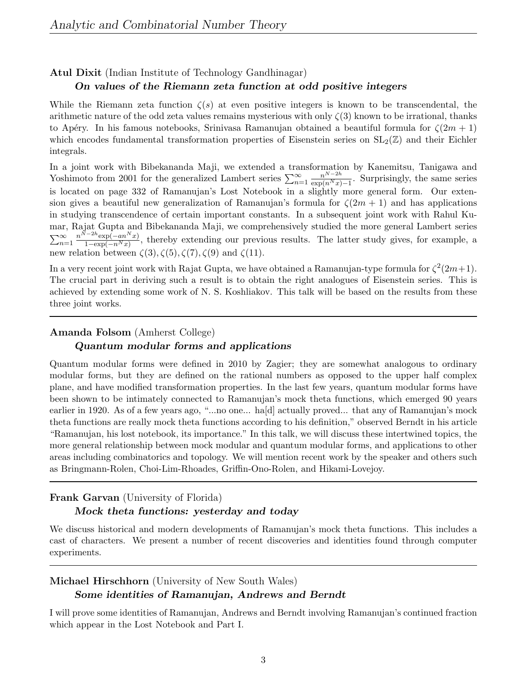#### Atul Dixit (Indian Institute of Technology Gandhinagar)

#### On values of the Riemann zeta function at odd positive integers

While the Riemann zeta function  $\zeta(s)$  at even positive integers is known to be transcendental, the arithmetic nature of the odd zeta values remains mysterious with only  $\zeta(3)$  known to be irrational, thanks to Apéry. In his famous notebooks, Srinivasa Ramanujan obtained a beautiful formula for  $\zeta(2m + 1)$ which encodes fundamental transformation properties of Eisenstein series on  $SL_2(\mathbb{Z})$  and their Eichler integrals.

In a joint work with Bibekananda Maji, we extended a transformation by Kanemitsu, Tanigawa and Yoshimoto from 2001 for the generalized Lambert series  $\sum_{n=1}^{\infty} \frac{n^{N-2h}}{\exp(n^N x)}$  $\frac{n^{N-2n}}{\exp(n^N x)-1}$ . Surprisingly, the same series is located on page 332 of Ramanujan's Lost Notebook in a slightly more general form. Our extension gives a beautiful new generalization of Ramanujan's formula for  $\zeta(2m+1)$  and has applications in studying transcendence of certain important constants. In a subsequent joint work with Rahul Kumar, Rajat Gupta and Bibekananda Maji, we comprehensively studied the more general Lambert series  $\sum_{n=1}^{\infty}$  $n^{N-2h}$ exp( $-an^N x$ )  $\frac{1-\exp(-an+x)}{1-\exp(-n^N x)}$ , thereby extending our previous results. The latter study gives, for example, a new relation between  $\zeta(3), \zeta(5), \zeta(7), \zeta(9)$  and  $\zeta(11)$ .

In a very recent joint work with Rajat Gupta, we have obtained a Ramanujan-type formula for  $\zeta^2(2m+1)$ . The crucial part in deriving such a result is to obtain the right analogues of Eisenstein series. This is achieved by extending some work of N. S. Koshliakov. This talk will be based on the results from these three joint works.

#### Amanda Folsom (Amherst College)

#### Quantum modular forms and applications

Quantum modular forms were defined in 2010 by Zagier; they are somewhat analogous to ordinary modular forms, but they are defined on the rational numbers as opposed to the upper half complex plane, and have modified transformation properties. In the last few years, quantum modular forms have been shown to be intimately connected to Ramanujan's mock theta functions, which emerged 90 years earlier in 1920. As of a few years ago, "...no one... ha[d] actually proved... that any of Ramanujan's mock theta functions are really mock theta functions according to his definition," observed Berndt in his article "Ramanujan, his lost notebook, its importance." In this talk, we will discuss these intertwined topics, the more general relationship between mock modular and quantum modular forms, and applications to other areas including combinatorics and topology. We will mention recent work by the speaker and others such as Bringmann-Rolen, Choi-Lim-Rhoades, Griffin-Ono-Rolen, and Hikami-Lovejoy.

## Frank Garvan (University of Florida) Mock theta functions: yesterday and today

We discuss historical and modern developments of Ramanujan's mock theta functions. This includes a cast of characters. We present a number of recent discoveries and identities found through computer experiments.

## Michael Hirschhorn (University of New South Wales)

#### Some identities of Ramanujan, Andrews and Berndt

I will prove some identities of Ramanujan, Andrews and Berndt involving Ramanujan's continued fraction which appear in the Lost Notebook and Part I.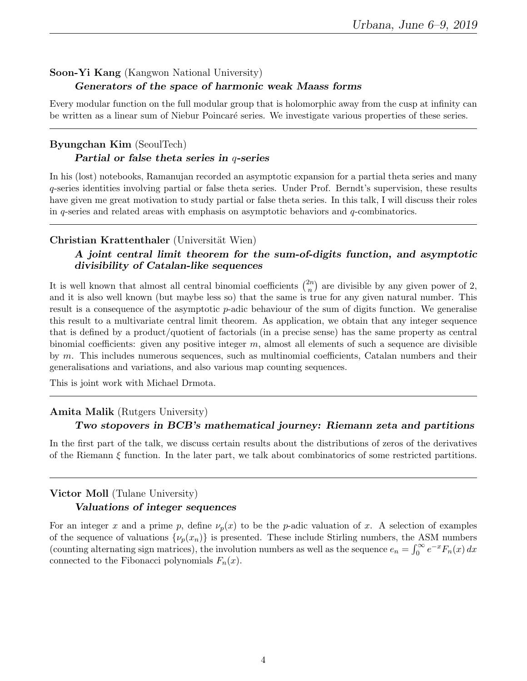## Soon-Yi Kang (Kangwon National University) Generators of the space of harmonic weak Maass forms

Every modular function on the full modular group that is holomorphic away from the cusp at infinity can be written as a linear sum of Niebur Poincaré series. We investigate various properties of these series.

## Byungchan Kim (SeoulTech) Partial or false theta series in q-series

In his (lost) notebooks, Ramanujan recorded an asymptotic expansion for a partial theta series and many q-series identities involving partial or false theta series. Under Prof. Berndt's supervision, these results have given me great motivation to study partial or false theta series. In this talk, I will discuss their roles in  $q$ -series and related areas with emphasis on asymptotic behaviors and  $q$ -combinatorics.

## Christian Krattenthaler (Universität Wien)

## A joint central limit theorem for the sum-of-digits function, and asymptotic divisibility of Catalan-like sequences

It is well known that almost all central binomial coefficients  $\binom{2n}{n}$  $\binom{2n}{n}$  are divisible by any given power of 2, and it is also well known (but maybe less so) that the same is true for any given natural number. This result is a consequence of the asymptotic p-adic behaviour of the sum of digits function. We generalise this result to a multivariate central limit theorem. As application, we obtain that any integer sequence that is defined by a product/quotient of factorials (in a precise sense) has the same property as central binomial coefficients: given any positive integer  $m$ , almost all elements of such a sequence are divisible by m. This includes numerous sequences, such as multinomial coefficients, Catalan numbers and their generalisations and variations, and also various map counting sequences.

This is joint work with Michael Drmota.

## Amita Malik (Rutgers University)

#### Two stopovers in BCB's mathematical journey: Riemann zeta and partitions

In the first part of the talk, we discuss certain results about the distributions of zeros of the derivatives of the Riemann ξ function. In the later part, we talk about combinatorics of some restricted partitions.

## Victor Moll (Tulane University)

#### Valuations of integer sequences

For an integer x and a prime p, define  $\nu_p(x)$  to be the p-adic valuation of x. A selection of examples of the sequence of valuations  $\{\nu_p(x_n)\}\$ is presented. These include Stirling numbers, the ASM numbers (counting alternating sign matrices), the involution numbers as well as the sequence  $e_n = \int_0^\infty e^{-x} F_n(x) dx$ connected to the Fibonacci polynomials  $F_n(x)$ .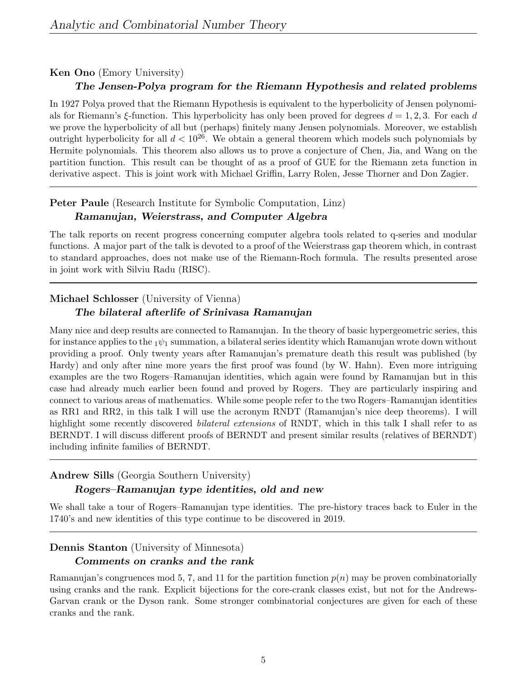#### Ken Ono (Emory University)

#### The Jensen-Polya program for the Riemann Hypothesis and related problems

In 1927 Polya proved that the Riemann Hypothesis is equivalent to the hyperbolicity of Jensen polynomials for Riemann's ξ-function. This hyperbolicity has only been proved for degrees  $d = 1, 2, 3$ . For each d we prove the hyperbolicity of all but (perhaps) finitely many Jensen polynomials. Moreover, we establish outright hyperbolicity for all  $d < 10^{26}$ . We obtain a general theorem which models such polynomials by Hermite polynomials. This theorem also allows us to prove a conjecture of Chen, Jia, and Wang on the partition function. This result can be thought of as a proof of GUE for the Riemann zeta function in derivative aspect. This is joint work with Michael Griffin, Larry Rolen, Jesse Thorner and Don Zagier.

#### Peter Paule (Research Institute for Symbolic Computation, Linz)

#### Ramanujan, Weierstrass, and Computer Algebra

The talk reports on recent progress concerning computer algebra tools related to q-series and modular functions. A major part of the talk is devoted to a proof of the Weierstrass gap theorem which, in contrast to standard approaches, does not make use of the Riemann-Roch formula. The results presented arose in joint work with Silviu Radu (RISC).

#### Michael Schlosser (University of Vienna)

#### The bilateral afterlife of Srinivasa Ramanujan

Many nice and deep results are connected to Ramanujan. In the theory of basic hypergeometric series, this for instance applies to the  $1\psi_1$  summation, a bilateral series identity which Ramanujan wrote down without providing a proof. Only twenty years after Ramanujan's premature death this result was published (by Hardy) and only after nine more years the first proof was found (by W. Hahn). Even more intriguing examples are the two Rogers–Ramanujan identities, which again were found by Ramanujan but in this case had already much earlier been found and proved by Rogers. They are particularly inspiring and connect to various areas of mathematics. While some people refer to the two Rogers–Ramanujan identities as RR1 and RR2, in this talk I will use the acronym RNDT (Ramanujan's nice deep theorems). I will highlight some recently discovered *bilateral extensions* of RNDT, which in this talk I shall refer to as BERNDT. I will discuss different proofs of BERNDT and present similar results (relatives of BERNDT) including infinite families of BERNDT.

## Andrew Sills (Georgia Southern University)

## Rogers–Ramanujan type identities, old and new

We shall take a tour of Rogers–Ramanujan type identities. The pre-history traces back to Euler in the 1740's and new identities of this type continue to be discovered in 2019.

#### Dennis Stanton (University of Minnesota)

#### Comments on cranks and the rank

Ramanujan's congruences mod 5, 7, and 11 for the partition function  $p(n)$  may be proven combinatorially using cranks and the rank. Explicit bijections for the core-crank classes exist, but not for the Andrews-Garvan crank or the Dyson rank. Some stronger combinatorial conjectures are given for each of these cranks and the rank.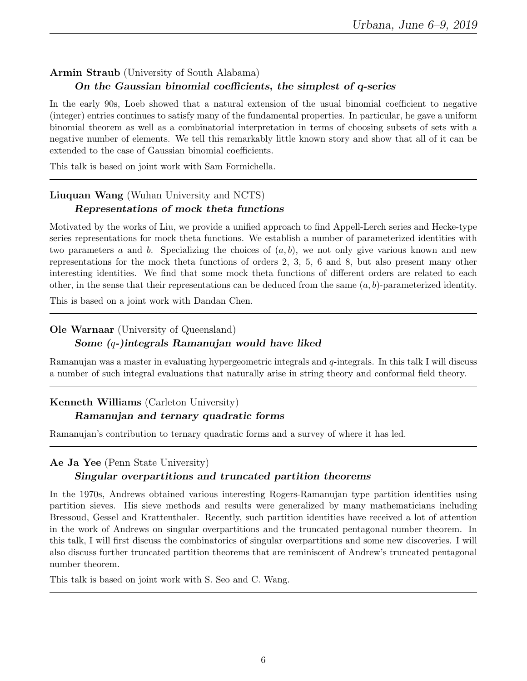## Armin Straub (University of South Alabama) On the Gaussian binomial coefficients, the simplest of q-series

In the early 90s, Loeb showed that a natural extension of the usual binomial coefficient to negative (integer) entries continues to satisfy many of the fundamental properties. In particular, he gave a uniform binomial theorem as well as a combinatorial interpretation in terms of choosing subsets of sets with a negative number of elements. We tell this remarkably little known story and show that all of it can be extended to the case of Gaussian binomial coefficients.

This talk is based on joint work with Sam Formichella.

## Liuquan Wang (Wuhan University and NCTS) Representations of mock theta functions

Motivated by the works of Liu, we provide a unified approach to find Appell-Lerch series and Hecke-type series representations for mock theta functions. We establish a number of parameterized identities with two parameters a and b. Specializing the choices of  $(a, b)$ , we not only give various known and new representations for the mock theta functions of orders 2, 3, 5, 6 and 8, but also present many other interesting identities. We find that some mock theta functions of different orders are related to each other, in the sense that their representations can be deduced from the same  $(a, b)$ -parameterized identity.

This is based on a joint work with Dandan Chen.

## Ole Warnaar (University of Queensland) Some (q-)integrals Ramanujan would have liked

Ramanujan was a master in evaluating hypergeometric integrals and q-integrals. In this talk I will discuss a number of such integral evaluations that naturally arise in string theory and conformal field theory.

## Kenneth Williams (Carleton University)

## Ramanujan and ternary quadratic forms

Ramanujan's contribution to ternary quadratic forms and a survey of where it has led.

Ae Ja Yee (Penn State University)

#### Singular overpartitions and truncated partition theorems

In the 1970s, Andrews obtained various interesting Rogers-Ramanujan type partition identities using partition sieves. His sieve methods and results were generalized by many mathematicians including Bressoud, Gessel and Krattenthaler. Recently, such partition identities have received a lot of attention in the work of Andrews on singular overpartitions and the truncated pentagonal number theorem. In this talk, I will first discuss the combinatorics of singular overpartitions and some new discoveries. I will also discuss further truncated partition theorems that are reminiscent of Andrew's truncated pentagonal number theorem.

This talk is based on joint work with S. Seo and C. Wang.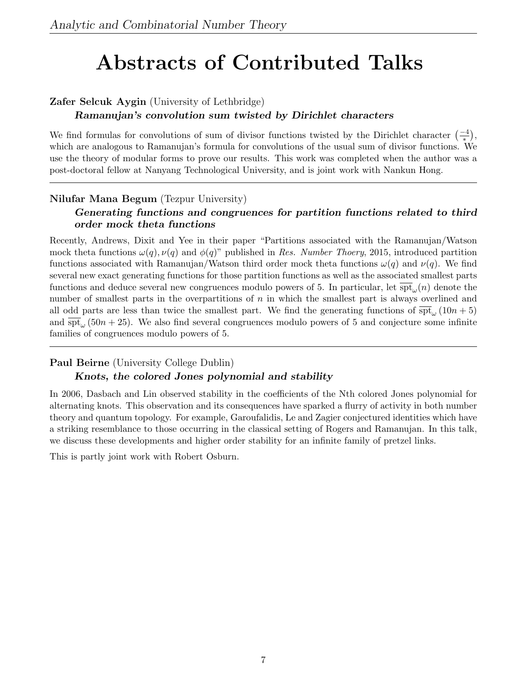# Abstracts of Contributed Talks

## Zafer Selcuk Aygin (University of Lethbridge)

## Ramanujan's convolution sum twisted by Dirichlet characters

We find formulas for convolutions of sum of divisor functions twisted by the Dirichlet character  $\left(\frac{-4}{*}\right)$ , which are analogous to Ramanujan's formula for convolutions of the usual sum of divisor functions. We use the theory of modular forms to prove our results. This work was completed when the author was a post-doctoral fellow at Nanyang Technological University, and is joint work with Nankun Hong.

## Nilufar Mana Begum (Tezpur University)

## Generating functions and congruences for partition functions related to third order mock theta functions

Recently, Andrews, Dixit and Yee in their paper "Partitions associated with the Ramanujan/Watson mock theta functions  $\omega(q)$ ,  $\nu(q)$  and  $\phi(q)$ " published in Res. Number Thoery, 2015, introduced partition functions associated with Ramanujan/Watson third order mock theta functions  $\omega(q)$  and  $\nu(q)$ . We find several new exact generating functions for those partition functions as well as the associated smallest parts functions and deduce several new congruences modulo powers of 5. In particular, let  $\overline{\text{spt}}_{\omega}(n)$  denote the number of smallest parts in the overpartitions of n in which the smallest part is always overlined and all odd parts are less than twice the smallest part. We find the generating functions of  $\frac{\text{opt}}{\text{pt}}(10n+5)$ and  $\overline{\text{spt}}_{\omega}$  (50n + 25). We also find several congruences modulo powers of 5 and conjecture some infinite families of congruences modulo powers of 5.

## Paul Beirne (University College Dublin)

## Knots, the colored Jones polynomial and stability

In 2006, Dasbach and Lin observed stability in the coefficients of the Nth colored Jones polynomial for alternating knots. This observation and its consequences have sparked a flurry of activity in both number theory and quantum topology. For example, Garoufalidis, Le and Zagier conjectured identities which have a striking resemblance to those occurring in the classical setting of Rogers and Ramanujan. In this talk, we discuss these developments and higher order stability for an infinite family of pretzel links.

This is partly joint work with Robert Osburn.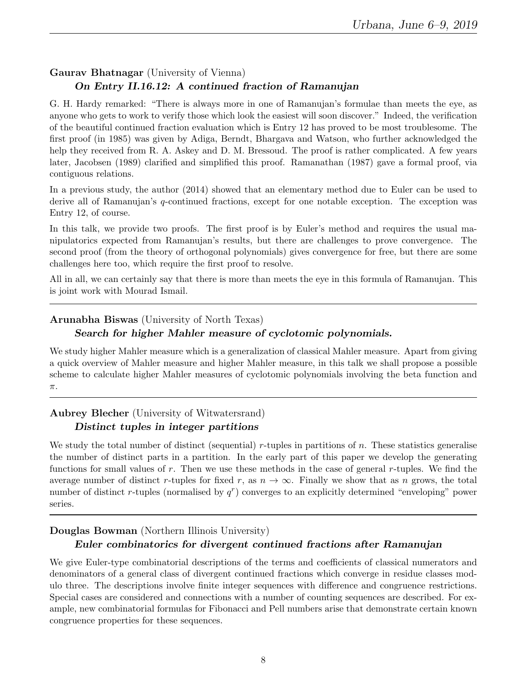## Gaurav Bhatnagar (University of Vienna)

## On Entry II.16.12: A continued fraction of Ramanujan

G. H. Hardy remarked: "There is always more in one of Ramanujan's formulae than meets the eye, as anyone who gets to work to verify those which look the easiest will soon discover." Indeed, the verification of the beautiful continued fraction evaluation which is Entry 12 has proved to be most troublesome. The first proof (in 1985) was given by Adiga, Berndt, Bhargava and Watson, who further acknowledged the help they received from R. A. Askey and D. M. Bressoud. The proof is rather complicated. A few years later, Jacobsen (1989) clarified and simplified this proof. Ramanathan (1987) gave a formal proof, via contiguous relations.

In a previous study, the author (2014) showed that an elementary method due to Euler can be used to derive all of Ramanujan's q-continued fractions, except for one notable exception. The exception was Entry 12, of course.

In this talk, we provide two proofs. The first proof is by Euler's method and requires the usual manipulatorics expected from Ramanujan's results, but there are challenges to prove convergence. The second proof (from the theory of orthogonal polynomials) gives convergence for free, but there are some challenges here too, which require the first proof to resolve.

All in all, we can certainly say that there is more than meets the eye in this formula of Ramanujan. This is joint work with Mourad Ismail.

#### Arunabha Biswas (University of North Texas)

## Search for higher Mahler measure of cyclotomic polynomials.

We study higher Mahler measure which is a generalization of classical Mahler measure. Apart from giving a quick overview of Mahler measure and higher Mahler measure, in this talk we shall propose a possible scheme to calculate higher Mahler measures of cyclotomic polynomials involving the beta function and π.

## Aubrey Blecher (University of Witwatersrand) Distinct tuples in integer partitions

We study the total number of distinct (sequential) r-tuples in partitions of  $n$ . These statistics generalise the number of distinct parts in a partition. In the early part of this paper we develop the generating functions for small values of r. Then we use these methods in the case of general r-tuples. We find the average number of distinct r-tuples for fixed r, as  $n \to \infty$ . Finally we show that as n grows, the total number of distinct r-tuples (normalised by  $q<sup>r</sup>$ ) converges to an explicitly determined "enveloping" power series.

## Douglas Bowman (Northern Illinois University) Euler combinatorics for divergent continued fractions after Ramanujan

We give Euler-type combinatorial descriptions of the terms and coefficients of classical numerators and denominators of a general class of divergent continued fractions which converge in residue classes modulo three. The descriptions involve finite integer sequences with difference and congruence restrictions. Special cases are considered and connections with a number of counting sequences are described. For example, new combinatorial formulas for Fibonacci and Pell numbers arise that demonstrate certain known congruence properties for these sequences.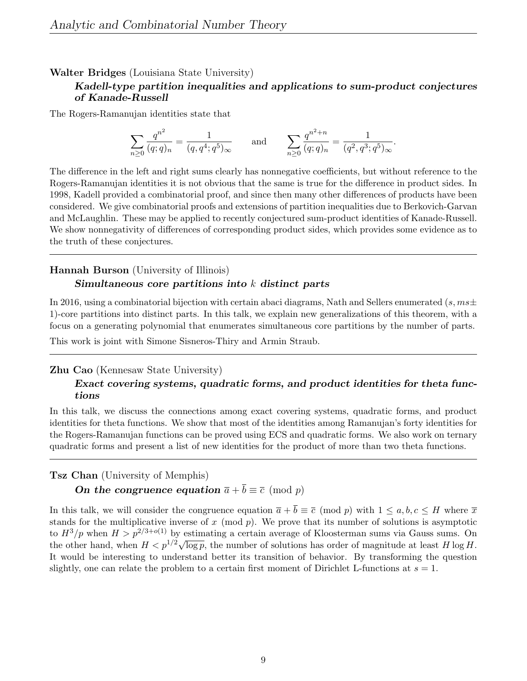#### Walter Bridges (Louisiana State University)

#### Kadell-type partition inequalities and applications to sum-product conjectures of Kanade-Russell

The Rogers-Ramanujan identities state that

$$
\sum_{n\geq 0} \frac{q^{n^2}}{(q;q)_n} = \frac{1}{(q,q^4;q^5)_{\infty}} \quad \text{and} \quad \sum_{n\geq 0} \frac{q^{n^2+n}}{(q;q)_n} = \frac{1}{(q^2,q^3;q^5)_{\infty}}.
$$

The difference in the left and right sums clearly has nonnegative coefficients, but without reference to the Rogers-Ramanujan identities it is not obvious that the same is true for the difference in product sides. In 1998, Kadell provided a combinatorial proof, and since then many other differences of products have been considered. We give combinatorial proofs and extensions of partition inequalities due to Berkovich-Garvan and McLaughlin. These may be applied to recently conjectured sum-product identities of Kanade-Russell. We show nonnegativity of differences of corresponding product sides, which provides some evidence as to the truth of these conjectures.

## Hannah Burson (University of Illinois) Simultaneous core partitions into  $k$  distinct parts

In 2016, using a combinatorial bijection with certain abaci diagrams, Nath and Sellers enumerated (s,  $ms\pm$ 1)-core partitions into distinct parts. In this talk, we explain new generalizations of this theorem, with a focus on a generating polynomial that enumerates simultaneous core partitions by the number of parts.

This work is joint with Simone Sisneros-Thiry and Armin Straub.

#### Zhu Cao (Kennesaw State University)

#### Exact covering systems, quadratic forms, and product identities for theta functions

In this talk, we discuss the connections among exact covering systems, quadratic forms, and product identities for theta functions. We show that most of the identities among Ramanujan's forty identities for the Rogers-Ramanujan functions can be proved using ECS and quadratic forms. We also work on ternary quadratic forms and present a list of new identities for the product of more than two theta functions.

Tsz Chan (University of Memphis)

## On the congruence equation  $\bar{a} + \bar{b} \equiv \bar{c} \pmod{p}$

In this talk, we will consider the congruence equation  $\bar{a} + \bar{b} \equiv \bar{c} \pmod{p}$  with  $1 \leq a, b, c \leq H$  where  $\bar{x}$ stands for the multiplicative inverse of x (mod  $p$ ). We prove that its number of solutions is asymptotic to  $H^3/p$  when  $H > p^{2/3+o(1)}$  by estimating a certain average of Kloosterman sums via Gauss sums. On the other hand, when  $H < p^{1/2} \sqrt{\log p}$ , the number of solutions has order of magnitude at least H log H. It would be interesting to understand better its transition of behavior. By transforming the question slightly, one can relate the problem to a certain first moment of Dirichlet L-functions at  $s = 1$ .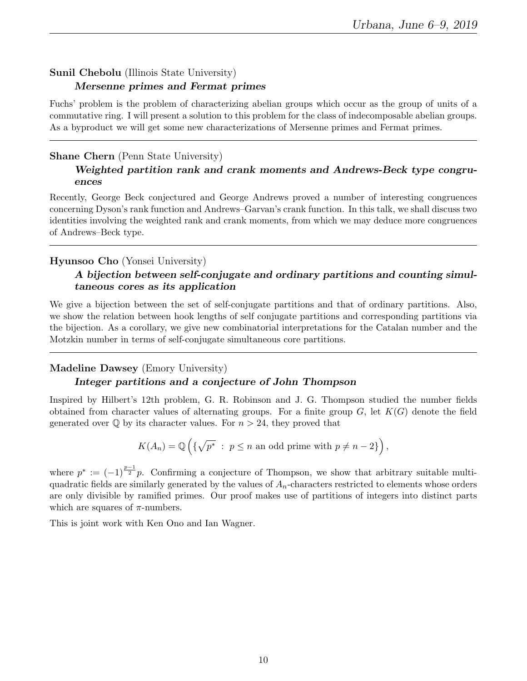## Sunil Chebolu (Illinois State University) Mersenne primes and Fermat primes

Fuchs' problem is the problem of characterizing abelian groups which occur as the group of units of a commutative ring. I will present a solution to this problem for the class of indecomposable abelian groups. As a byproduct we will get some new characterizations of Mersenne primes and Fermat primes.

## Shane Chern (Penn State University)

## Weighted partition rank and crank moments and Andrews-Beck type congruences

Recently, George Beck conjectured and George Andrews proved a number of interesting congruences concerning Dyson's rank function and Andrews–Garvan's crank function. In this talk, we shall discuss two identities involving the weighted rank and crank moments, from which we may deduce more congruences of Andrews–Beck type.

## Hyunsoo Cho (Yonsei University)

## A bijection between self-conjugate and ordinary partitions and counting simultaneous cores as its application

We give a bijection between the set of self-conjugate partitions and that of ordinary partitions. Also, we show the relation between hook lengths of self conjugate partitions and corresponding partitions via the bijection. As a corollary, we give new combinatorial interpretations for the Catalan number and the Motzkin number in terms of self-conjugate simultaneous core partitions.

## Madeline Dawsey (Emory University)

## Integer partitions and a conjecture of John Thompson

Inspired by Hilbert's 12th problem, G. R. Robinson and J. G. Thompson studied the number fields obtained from character values of alternating groups. For a finite group  $G$ , let  $K(G)$  denote the field generated over  $\mathbb Q$  by its character values. For  $n > 24$ , they proved that

$$
K(A_n) = \mathbb{Q}\left(\left\{\sqrt{p^*} : p \le n \text{ an odd prime with } p \ne n-2\right\}\right),\
$$

where  $p^* := (-1)^{\frac{p-1}{2}}p$ . Confirming a conjecture of Thompson, we show that arbitrary suitable multiquadratic fields are similarly generated by the values of  $A_n$ -characters restricted to elements whose orders are only divisible by ramified primes. Our proof makes use of partitions of integers into distinct parts which are squares of  $\pi$ -numbers.

This is joint work with Ken Ono and Ian Wagner.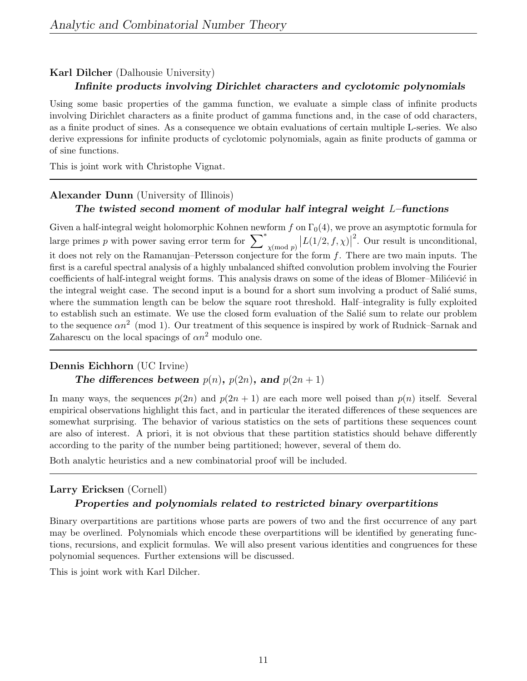#### Karl Dilcher (Dalhousie University)

#### Infinite products involving Dirichlet characters and cyclotomic polynomials

Using some basic properties of the gamma function, we evaluate a simple class of infinite products involving Dirichlet characters as a finite product of gamma functions and, in the case of odd characters, as a finite product of sines. As a consequence we obtain evaluations of certain multiple L-series. We also derive expressions for infinite products of cyclotomic polynomials, again as finite products of gamma or of sine functions.

This is joint work with Christophe Vignat.

#### Alexander Dunn (University of Illinois) The twisted second moment of modular half integral weight  $L$ –functions

Given a half-integral weight holomorphic Kohnen newform f on  $\Gamma_0(4)$ , we prove an asymptotic formula for large primes p with power saving error term for  $\sum\nolimits_{\chi(\bmod p)}^* |L(1/2, f, \chi)|$ <sup>2</sup>. Our result is unconditional, it does not rely on the Ramanujan–Petersson conjecture for the form  $f$ . There are two main inputs. The first is a careful spectral analysis of a highly unbalanced shifted convolution problem involving the Fourier coefficients of half-integral weight forms. This analysis draws on some of the ideas of Blomer–Milićević in the integral weight case. The second input is a bound for a short sum involving a product of Salié sums, where the summation length can be below the square root threshold. Half–integrality is fully exploited to establish such an estimate. We use the closed form evaluation of the Salié sum to relate our problem to the sequence  $\alpha n^2 \pmod{1}$ . Our treatment of this sequence is inspired by work of Rudnick–Sarnak and Zaharescu on the local spacings of  $\alpha n^2$  modulo one.

#### Dennis Eichhorn (UC Irvine)

#### The differences between  $p(n)$ ,  $p(2n)$ , and  $p(2n + 1)$

In many ways, the sequences  $p(2n)$  and  $p(2n + 1)$  are each more well poised than  $p(n)$  itself. Several empirical observations highlight this fact, and in particular the iterated differences of these sequences are somewhat surprising. The behavior of various statistics on the sets of partitions these sequences count are also of interest. A priori, it is not obvious that these partition statistics should behave differently according to the parity of the number being partitioned; however, several of them do.

Both analytic heuristics and a new combinatorial proof will be included.

#### Larry Ericksen (Cornell) Properties and polynomials related to restricted binary overpartitions

Binary overpartitions are partitions whose parts are powers of two and the first occurrence of any part may be overlined. Polynomials which encode these overpartitions will be identified by generating functions, recursions, and explicit formulas. We will also present various identities and congruences for these polynomial sequences. Further extensions will be discussed.

This is joint work with Karl Dilcher.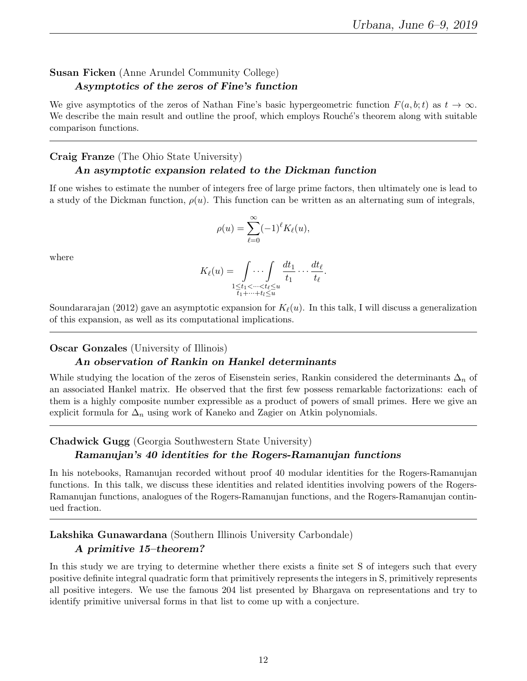## Susan Ficken (Anne Arundel Community College) Asymptotics of the zeros of Fine's function

We give asymptotics of the zeros of Nathan Fine's basic hypergeometric function  $F(a, b; t)$  as  $t \to \infty$ . We describe the main result and outline the proof, which employs Rouché's theorem along with suitable comparison functions.

## Craig Franze (The Ohio State University)

#### An asymptotic expansion related to the Dickman function

If one wishes to estimate the number of integers free of large prime factors, then ultimately one is lead to a study of the Dickman function,  $\rho(u)$ . This function can be written as an alternating sum of integrals,

$$
\rho(u) = \sum_{\ell=0}^{\infty} (-1)^{\ell} K_{\ell}(u),
$$

where

$$
K_{\ell}(u) = \int\limits_{\substack{1 \leq t_1 < \dots < t_{\ell} \leq u \\ t_1 + \dots + t_l \leq u}} \frac{dt_1}{t_1} \dots \frac{dt_{\ell}}{t_{\ell}}.
$$

Soundararajan (2012) gave an asymptotic expansion for  $K_{\ell}(u)$ . In this talk, I will discuss a generalization of this expansion, as well as its computational implications.

#### Oscar Gonzales (University of Illinois)

#### An observation of Rankin on Hankel determinants

While studying the location of the zeros of Eisenstein series, Rankin considered the determinants  $\Delta_n$  of an associated Hankel matrix. He observed that the first few possess remarkable factorizations: each of them is a highly composite number expressible as a product of powers of small primes. Here we give an explicit formula for  $\Delta_n$  using work of Kaneko and Zagier on Atkin polynomials.

#### Chadwick Gugg (Georgia Southwestern State University)

#### Ramanujan's 40 identities for the Rogers-Ramanujan functions

In his notebooks, Ramanujan recorded without proof 40 modular identities for the Rogers-Ramanujan functions. In this talk, we discuss these identities and related identities involving powers of the Rogers-Ramanujan functions, analogues of the Rogers-Ramanujan functions, and the Rogers-Ramanujan continued fraction.

## Lakshika Gunawardana (Southern Illinois University Carbondale) A primitive 15–theorem?

In this study we are trying to determine whether there exists a finite set S of integers such that every positive definite integral quadratic form that primitively represents the integers in S, primitively represents all positive integers. We use the famous 204 list presented by Bhargava on representations and try to identify primitive universal forms in that list to come up with a conjecture.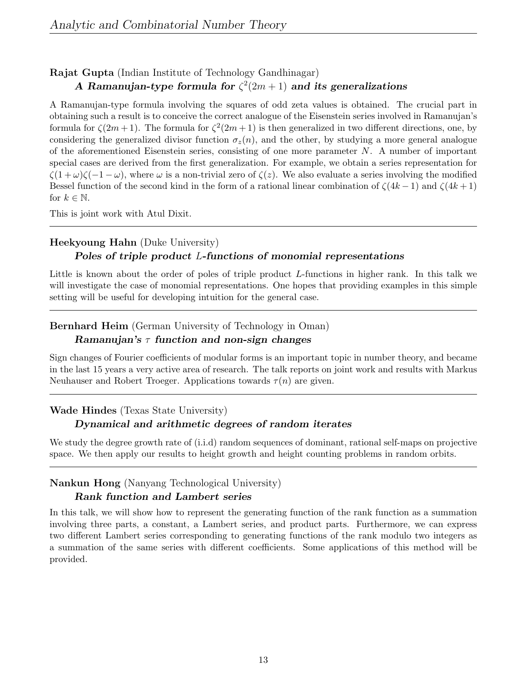## Rajat Gupta (Indian Institute of Technology Gandhinagar) A Ramanujan-type formula for  $\zeta^2(2m+1)$  and its generalizations

A Ramanujan-type formula involving the squares of odd zeta values is obtained. The crucial part in obtaining such a result is to conceive the correct analogue of the Eisenstein series involved in Ramanujan's formula for  $\zeta(2m+1)$ . The formula for  $\zeta^2(2m+1)$  is then generalized in two different directions, one, by considering the generalized divisor function  $\sigma_z(n)$ , and the other, by studying a more general analogue of the aforementioned Eisenstein series, consisting of one more parameter  $N$ . A number of important special cases are derived from the first generalization. For example, we obtain a series representation for  $\zeta(1+\omega)\zeta(-1-\omega)$ , where  $\omega$  is a non-trivial zero of  $\zeta(z)$ . We also evaluate a series involving the modified Bessel function of the second kind in the form of a rational linear combination of  $\zeta(4k-1)$  and  $\zeta(4k+1)$ for  $k \in \mathbb{N}$ .

This is joint work with Atul Dixit.

## Heekyoung Hahn (Duke University) Poles of triple product L-functions of monomial representations

Little is known about the order of poles of triple product L-functions in higher rank. In this talk we will investigate the case of monomial representations. One hopes that providing examples in this simple setting will be useful for developing intuition for the general case.

## Bernhard Heim (German University of Technology in Oman)

#### Ramanujan's  $\tau$  function and non-sign changes

Sign changes of Fourier coefficients of modular forms is an important topic in number theory, and became in the last 15 years a very active area of research. The talk reports on joint work and results with Markus Neuhauser and Robert Troeger. Applications towards  $\tau(n)$  are given.

## Wade Hindes (Texas State University)

#### Dynamical and arithmetic degrees of random iterates

We study the degree growth rate of (i.i.d) random sequences of dominant, rational self-maps on projective space. We then apply our results to height growth and height counting problems in random orbits.

## Nankun Hong (Nanyang Technological University) Rank function and Lambert series

In this talk, we will show how to represent the generating function of the rank function as a summation involving three parts, a constant, a Lambert series, and product parts. Furthermore, we can express two different Lambert series corresponding to generating functions of the rank modulo two integers as a summation of the same series with different coefficients. Some applications of this method will be provided.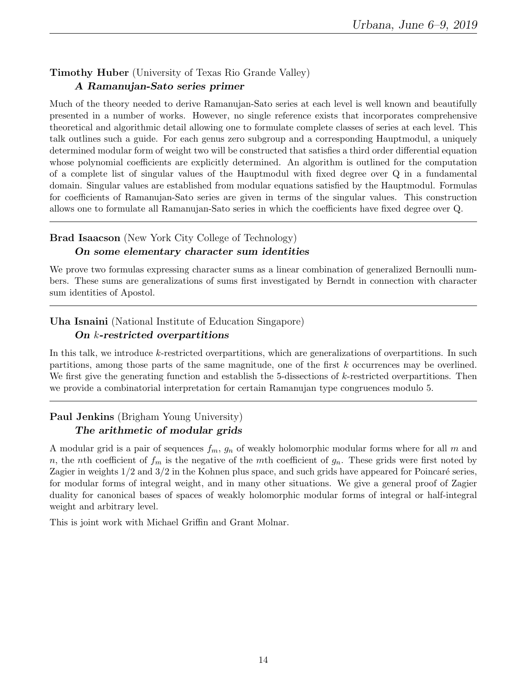#### Timothy Huber (University of Texas Rio Grande Valley) A Ramanujan-Sato series primer

Much of the theory needed to derive Ramanujan-Sato series at each level is well known and beautifully presented in a number of works. However, no single reference exists that incorporates comprehensive theoretical and algorithmic detail allowing one to formulate complete classes of series at each level. This talk outlines such a guide. For each genus zero subgroup and a corresponding Hauptmodul, a uniquely determined modular form of weight two will be constructed that satisfies a third order differential equation whose polynomial coefficients are explicitly determined. An algorithm is outlined for the computation of a complete list of singular values of the Hauptmodul with fixed degree over Q in a fundamental domain. Singular values are established from modular equations satisfied by the Hauptmodul. Formulas for coefficients of Ramanujan-Sato series are given in terms of the singular values. This construction allows one to formulate all Ramanujan-Sato series in which the coefficients have fixed degree over Q.

## Brad Isaacson (New York City College of Technology)

#### On some elementary character sum identities

We prove two formulas expressing character sums as a linear combination of generalized Bernoulli numbers. These sums are generalizations of sums first investigated by Berndt in connection with character sum identities of Apostol.

## Uha Isnaini (National Institute of Education Singapore)

## On k-restricted overpartitions

In this talk, we introduce k-restricted overpartitions, which are generalizations of overpartitions. In such partitions, among those parts of the same magnitude, one of the first k occurrences may be overlined. We first give the generating function and establish the 5-dissections of k-restricted overpartitions. Then we provide a combinatorial interpretation for certain Ramanujan type congruences modulo 5.

## Paul Jenkins (Brigham Young University) The arithmetic of modular grids

A modular grid is a pair of sequences  $f_m$ ,  $g_n$  of weakly holomorphic modular forms where for all m and n, the nth coefficient of  $f_m$  is the negative of the mth coefficient of  $g_n$ . These grids were first noted by Zagier in weights  $1/2$  and  $3/2$  in the Kohnen plus space, and such grids have appeared for Poincaré series, for modular forms of integral weight, and in many other situations. We give a general proof of Zagier duality for canonical bases of spaces of weakly holomorphic modular forms of integral or half-integral weight and arbitrary level.

This is joint work with Michael Griffin and Grant Molnar.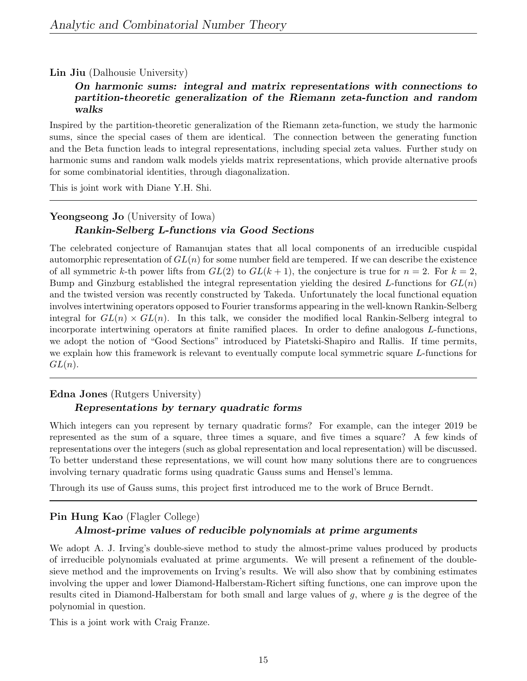#### Lin Jiu (Dalhousie University)

#### On harmonic sums: integral and matrix representations with connections to partition-theoretic generalization of the Riemann zeta-function and random walks

Inspired by the partition-theoretic generalization of the Riemann zeta-function, we study the harmonic sums, since the special cases of them are identical. The connection between the generating function and the Beta function leads to integral representations, including special zeta values. Further study on harmonic sums and random walk models yields matrix representations, which provide alternative proofs for some combinatorial identities, through diagonalization.

This is joint work with Diane Y.H. Shi.

## Yeongseong Jo (University of Iowa) Rankin-Selberg L-functions via Good Sections

The celebrated conjecture of Ramanujan states that all local components of an irreducible cuspidal automorphic representation of  $GL(n)$  for some number field are tempered. If we can describe the existence of all symmetric k-th power lifts from  $GL(2)$  to  $GL(k+1)$ , the conjecture is true for  $n=2$ . For  $k=2$ , Bump and Ginzburg established the integral representation yielding the desired L-functions for  $GL(n)$ and the twisted version was recently constructed by Takeda. Unfortunately the local functional equation involves intertwining operators opposed to Fourier transforms appearing in the well-known Rankin-Selberg integral for  $GL(n) \times GL(n)$ . In this talk, we consider the modified local Rankin-Selberg integral to incorporate intertwining operators at finite ramified places. In order to define analogous L-functions, we adopt the notion of "Good Sections" introduced by Piatetski-Shapiro and Rallis. If time permits, we explain how this framework is relevant to eventually compute local symmetric square L-functions for  $GL(n).$ 

#### Edna Jones (Rutgers University) Representations by ternary quadratic forms

Which integers can you represent by ternary quadratic forms? For example, can the integer 2019 be represented as the sum of a square, three times a square, and five times a square? A few kinds of representations over the integers (such as global representation and local representation) will be discussed. To better understand these representations, we will count how many solutions there are to congruences involving ternary quadratic forms using quadratic Gauss sums and Hensel's lemma.

Through its use of Gauss sums, this project first introduced me to the work of Bruce Berndt.

## Pin Hung Kao (Flagler College)

#### Almost-prime values of reducible polynomials at prime arguments

We adopt A. J. Irving's double-sieve method to study the almost-prime values produced by products of irreducible polynomials evaluated at prime arguments. We will present a refinement of the doublesieve method and the improvements on Irving's results. We will also show that by combining estimates involving the upper and lower Diamond-Halberstam-Richert sifting functions, one can improve upon the results cited in Diamond-Halberstam for both small and large values of  $g$ , where  $g$  is the degree of the polynomial in question.

This is a joint work with Craig Franze.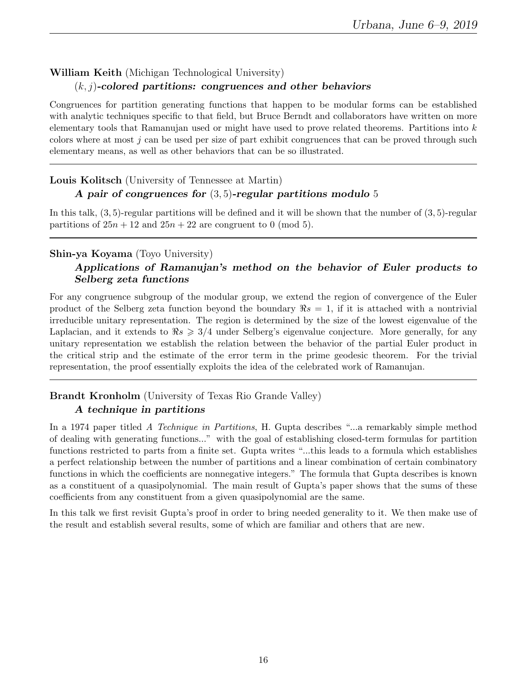## William Keith (Michigan Technological University)

#### $(k, j)$ -colored partitions: congruences and other behaviors

Congruences for partition generating functions that happen to be modular forms can be established with analytic techniques specific to that field, but Bruce Berndt and collaborators have written on more elementary tools that Ramanujan used or might have used to prove related theorems. Partitions into k colors where at most  $j$  can be used per size of part exhibit congruences that can be proved through such elementary means, as well as other behaviors that can be so illustrated.

#### Louis Kolitsch (University of Tennessee at Martin)

#### A pair of congruences for  $(3, 5)$ -regular partitions modulo 5

In this talk, (3, 5)-regular partitions will be defined and it will be shown that the number of (3, 5)-regular partitions of  $25n + 12$  and  $25n + 22$  are congruent to 0 (mod 5).

#### Shin-ya Koyama (Toyo University)

#### Applications of Ramanujan's method on the behavior of Euler products to Selberg zeta functions

For any congruence subgroup of the modular group, we extend the region of convergence of the Euler product of the Selberg zeta function beyond the boundary  $\Re s = 1$ , if it is attached with a nontrivial irreducible unitary representation. The region is determined by the size of the lowest eigenvalue of the Laplacian, and it extends to  $\Re s \geq 3/4$  under Selberg's eigenvalue conjecture. More generally, for any unitary representation we establish the relation between the behavior of the partial Euler product in the critical strip and the estimate of the error term in the prime geodesic theorem. For the trivial representation, the proof essentially exploits the idea of the celebrated work of Ramanujan.

# Brandt Kronholm (University of Texas Rio Grande Valley)

#### A technique in partitions

In a 1974 paper titled A Technique in Partitions, H. Gupta describes "...a remarkably simple method of dealing with generating functions..." with the goal of establishing closed-term formulas for partition functions restricted to parts from a finite set. Gupta writes "...this leads to a formula which establishes a perfect relationship between the number of partitions and a linear combination of certain combinatory functions in which the coefficients are nonnegative integers." The formula that Gupta describes is known as a constituent of a quasipolynomial. The main result of Gupta's paper shows that the sums of these coefficients from any constituent from a given quasipolynomial are the same.

In this talk we first revisit Gupta's proof in order to bring needed generality to it. We then make use of the result and establish several results, some of which are familiar and others that are new.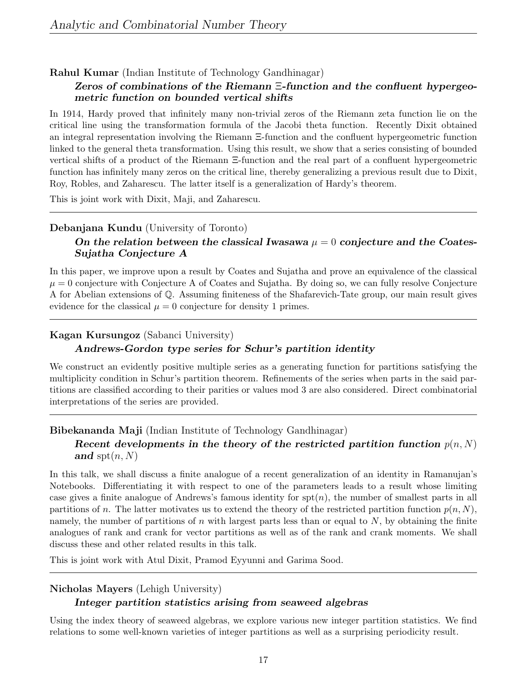#### Rahul Kumar (Indian Institute of Technology Gandhinagar)

#### Zeros of combinations of the Riemann Ξ-function and the confluent hypergeometric function on bounded vertical shifts

In 1914, Hardy proved that infinitely many non-trivial zeros of the Riemann zeta function lie on the critical line using the transformation formula of the Jacobi theta function. Recently Dixit obtained an integral representation involving the Riemann Ξ-function and the confluent hypergeometric function linked to the general theta transformation. Using this result, we show that a series consisting of bounded vertical shifts of a product of the Riemann Ξ-function and the real part of a confluent hypergeometric function has infinitely many zeros on the critical line, thereby generalizing a previous result due to Dixit, Roy, Robles, and Zaharescu. The latter itself is a generalization of Hardy's theorem.

This is joint work with Dixit, Maji, and Zaharescu.

#### Debanjana Kundu (University of Toronto)

## On the relation between the classical Iwasawa  $\mu = 0$  conjecture and the Coates-Sujatha Conjecture A

In this paper, we improve upon a result by Coates and Sujatha and prove an equivalence of the classical  $\mu = 0$  conjecture with Conjecture A of Coates and Sujatha. By doing so, we can fully resolve Conjecture A for Abelian extensions of Q. Assuming finiteness of the Shafarevich-Tate group, our main result gives evidence for the classical  $\mu = 0$  conjecture for density 1 primes.

#### Kagan Kursungoz (Sabanci University)

#### Andrews-Gordon type series for Schur's partition identity

We construct an evidently positive multiple series as a generating function for partitions satisfying the multiplicity condition in Schur's partition theorem. Refinements of the series when parts in the said partitions are classified according to their parities or values mod 3 are also considered. Direct combinatorial interpretations of the series are provided.

## Bibekananda Maji (Indian Institute of Technology Gandhinagar) Recent developments in the theory of the restricted partition function  $p(n, N)$ and  $\text{spt}(n, N)$

In this talk, we shall discuss a finite analogue of a recent generalization of an identity in Ramanujan's Notebooks. Differentiating it with respect to one of the parameters leads to a result whose limiting case gives a finite analogue of Andrews's famous identity for  $spt(n)$ , the number of smallest parts in all partitions of n. The latter motivates us to extend the theory of the restricted partition function  $p(n, N)$ , namely, the number of partitions of n with largest parts less than or equal to  $N$ , by obtaining the finite analogues of rank and crank for vector partitions as well as of the rank and crank moments. We shall discuss these and other related results in this talk.

This is joint work with Atul Dixit, Pramod Eyyunni and Garima Sood.

#### Nicholas Mayers (Lehigh University)

#### Integer partition statistics arising from seaweed algebras

Using the index theory of seaweed algebras, we explore various new integer partition statistics. We find relations to some well-known varieties of integer partitions as well as a surprising periodicity result.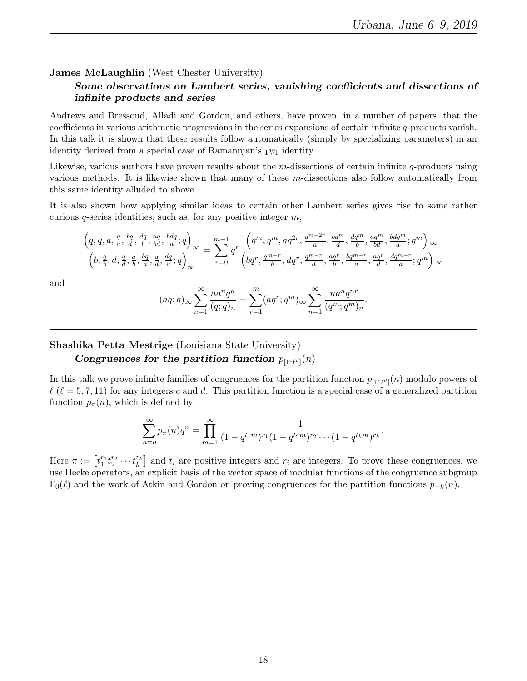.

#### James McLaughlin (West Chester University)

#### Some observations on Lambert series, vanishing coefficients and dissections of infinite products and series

Andrews and Bressoud, Alladi and Gordon, and others, have proven, in a number of papers, that the coefficients in various arithmetic progressions in the series expansions of certain infinite q-products vanish. In this talk it is shown that these results follow automatically (simply by specializing parameters) in an identity derived from a special case of Ramanujan's  $_1\psi_1$  identity.

Likewise, various authors have proven results about the m-dissections of certain infinite  $q$ -products using various methods. It is likewise shown that many of these m-dissections also follow automatically from this same identity alluded to above.

It is also shown how applying similar ideas to certain other Lambert series gives rise to some rather curious  $q$ -series identities, such as, for any positive integer  $m$ ,

$$
\frac{\left(q,q,a,\frac{q}{a},\frac{bq}{d},\frac{dq}{b},\frac{aq}{bd},\frac{bdq}{a};q\right)}{\left(b,\frac{q}{b},d,\frac{q}{d},\frac{a}{b},\frac{bq}{d},\frac{a}{d},\frac{dq}{a};q\right)_{\infty}} = \sum_{r=0}^{m-1} q^r \frac{\left(q^m,q^m,aq^{2r},\frac{q^{m-2r}}{a},\frac{bq^m}{a},\frac{dq^m}{d},\frac{aq^m}{b},\frac{bq^m}{ad},\frac{bdq^m}{a};q^m\right)_{\infty}}{\left(bq^r,\frac{q^{m-r}}{b},dq^r,\frac{q^{m-r}}{d},\frac{aq^r}{b},\frac{bq^{m-r}}{a},\frac{aq^r}{d},\frac{dq^{m-r}}{a};q^m\right)_{\infty}}
$$

and

$$
(aq;q)_{\infty} \sum_{n=1}^{\infty} \frac{na^n q^n}{(q;q)_n} = \sum_{r=1}^m (aq^r; q^m)_{\infty} \sum_{n=1}^{\infty} \frac{na^n q^{nr}}{(q^m; q^m)_n}
$$

#### Shashika Petta Mestrige (Louisiana State University)

#### Congruences for the partition function  $p_{[1c\ell d]}(n)$

In this talk we prove infinite families of congruences for the partition function  $p_{[1c\ell d]}(n)$  modulo powers of  $\ell$  ( $\ell = 5, 7, 11$ ) for any integers c and d. This partition function is a special case of a generalized partition function  $p_{\pi}(n)$ , which is defined by

$$
\sum_{n=0}^{\infty} p_{\pi}(n)q^{n} = \prod_{m=1}^{\infty} \frac{1}{(1-q^{t_1m})^{r_1}(1-q^{t_2m})^{r_2}\cdots(1-q^{t_km})^{r_k}}.
$$

Here  $\pi := \left[ t_1^{r_1} t_2^{r_2} \cdots t_k^{r_k} \right]$  and  $t_i$  are positive integers and  $r_i$  are integers. To prove these congruences, we use Hecke operators, an explicit basis of the vector space of modular functions of the congruence subgroup  $\Gamma_0(\ell)$  and the work of Atkin and Gordon on proving congruences for the partition functions  $p_{-k}(n)$ .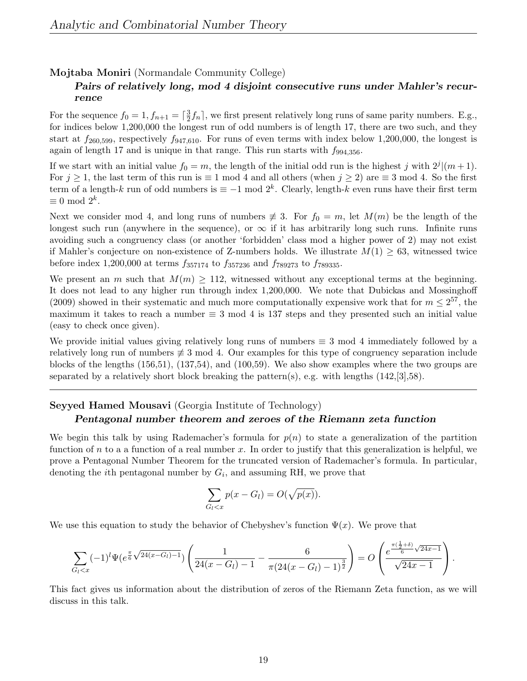#### Mojtaba Moniri (Normandale Community College)

## Pairs of relatively long, mod 4 disjoint consecutive runs under Mahler's recurrence

For the sequence  $f_0 = 1, f_{n+1} = \lceil \frac{3}{2} \rceil$  $\frac{3}{2}f_n$ , we first present relatively long runs of same parity numbers. E.g., for indices below 1,200,000 the longest run of odd numbers is of length 17, there are two such, and they start at  $f_{260,599}$ , respectively  $f_{947,610}$ . For runs of even terms with index below 1,200,000, the longest is again of length 17 and is unique in that range. This run starts with  $f_{994,356}$ .

If we start with an initial value  $f_0 = m$ , the length of the initial odd run is the highest j with  $2^j | (m + 1)$ . For  $j \ge 1$ , the last term of this run is  $\equiv 1 \mod 4$  and all others (when  $j \ge 2$ ) are  $\equiv 3 \mod 4$ . So the first term of a length-k run of odd numbers is  $\equiv -1 \mod 2^k$ . Clearly, length-k even runs have their first term  $\equiv 0 \mod 2^k$ .

Next we consider mod 4, and long runs of numbers  $\neq 3$ . For  $f_0 = m$ , let  $M(m)$  be the length of the longest such run (anywhere in the sequence), or  $\infty$  if it has arbitrarily long such runs. Infinite runs avoiding such a congruency class (or another 'forbidden' class mod a higher power of 2) may not exist if Mahler's conjecture on non-existence of Z-numbers holds. We illustrate  $M(1) \geq 63$ , witnessed twice before index 1,200,000 at terms  $f_{357174}$  to  $f_{357236}$  and  $f_{789273}$  to  $f_{789335}$ .

We present an m such that  $M(m) \geq 112$ , witnessed without any exceptional terms at the beginning. It does not lead to any higher run through index 1,200,000. We note that Dubickas and Mossinghoff (2009) showed in their systematic and much more computationally expensive work that for  $m \leq 2^{57}$ , the maximum it takes to reach a number  $\equiv 3 \mod 4$  is 137 steps and they presented such an initial value (easy to check once given).

We provide initial values giving relatively long runs of numbers  $\equiv 3 \mod 4$  immediately followed by a relatively long run of numbers  $\neq 3$  mod 4. Our examples for this type of congruency separation include blocks of the lengths (156,51), (137,54), and (100,59). We also show examples where the two groups are separated by a relatively short block breaking the pattern(s), e.g. with lengths  $(142, 3]$ ,58).

#### Seyyed Hamed Mousavi (Georgia Institute of Technology) Pentagonal number theorem and zeroes of the Riemann zeta function

We begin this talk by using Rademacher's formula for  $p(n)$  to state a generalization of the partition function of  $n$  to a a function of a real number x. In order to justify that this generalization is helpful, we prove a Pentagonal Number Theorem for the truncated version of Rademacher's formula. In particular, denoting the *i*<sup>th</sup> pentagonal number by  $G_i$ , and assuming RH, we prove that

$$
\sum_{G_l < x} p(x - G_l) = O(\sqrt{p(x)}).
$$

We use this equation to study the behavior of Chebyshev's function  $\Psi(x)$ . We prove that

$$
\sum_{G_l < x} (-1)^l \Psi(e^{\frac{\pi}{6}\sqrt{24(x-G_l)-1}}) \left( \frac{1}{24(x-G_l)-1} - \frac{6}{\pi (24(x-G_l)-1)^{\frac{3}{2}}} \right) = O\left(\frac{e^{\frac{\pi(\frac{1}{2}+\delta)}{6}\sqrt{24x-1}}}{\sqrt{24x-1}}\right).
$$

This fact gives us information about the distribution of zeros of the Riemann Zeta function, as we will discuss in this talk.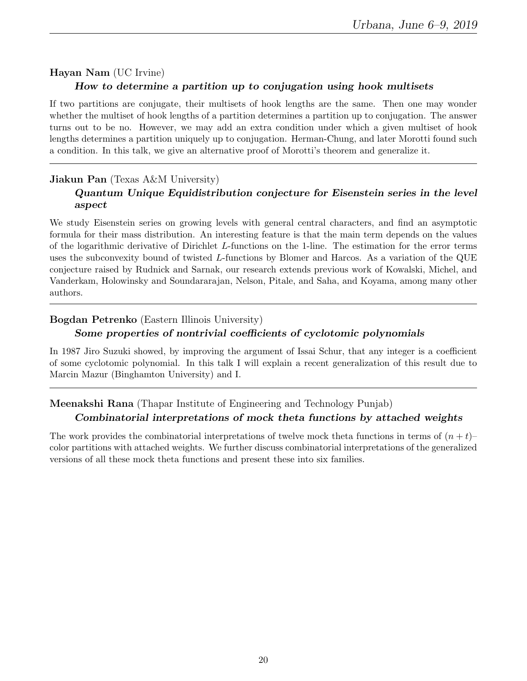# Hayan Nam (UC Irvine) How to determine a partition up to conjugation using hook multisets

If two partitions are conjugate, their multisets of hook lengths are the same. Then one may wonder whether the multiset of hook lengths of a partition determines a partition up to conjugation. The answer turns out to be no. However, we may add an extra condition under which a given multiset of hook lengths determines a partition uniquely up to conjugation. Herman-Chung, and later Morotti found such a condition. In this talk, we give an alternative proof of Morotti's theorem and generalize it.

## Jiakun Pan (Texas A&M University) Quantum Unique Equidistribution conjecture for Eisenstein series in the level aspect

We study Eisenstein series on growing levels with general central characters, and find an asymptotic formula for their mass distribution. An interesting feature is that the main term depends on the values of the logarithmic derivative of Dirichlet L-functions on the 1-line. The estimation for the error terms uses the subconvexity bound of twisted L-functions by Blomer and Harcos. As a variation of the QUE conjecture raised by Rudnick and Sarnak, our research extends previous work of Kowalski, Michel, and Vanderkam, Holowinsky and Soundararajan, Nelson, Pitale, and Saha, and Koyama, among many other authors.

## Bogdan Petrenko (Eastern Illinois University)

## Some properties of nontrivial coefficients of cyclotomic polynomials

In 1987 Jiro Suzuki showed, by improving the argument of Issai Schur, that any integer is a coefficient of some cyclotomic polynomial. In this talk I will explain a recent generalization of this result due to Marcin Mazur (Binghamton University) and I.

## Meenakshi Rana (Thapar Institute of Engineering and Technology Punjab) Combinatorial interpretations of mock theta functions by attached weights

The work provides the combinatorial interpretations of twelve mock theta functions in terms of  $(n + t)$ – color partitions with attached weights. We further discuss combinatorial interpretations of the generalized versions of all these mock theta functions and present these into six families.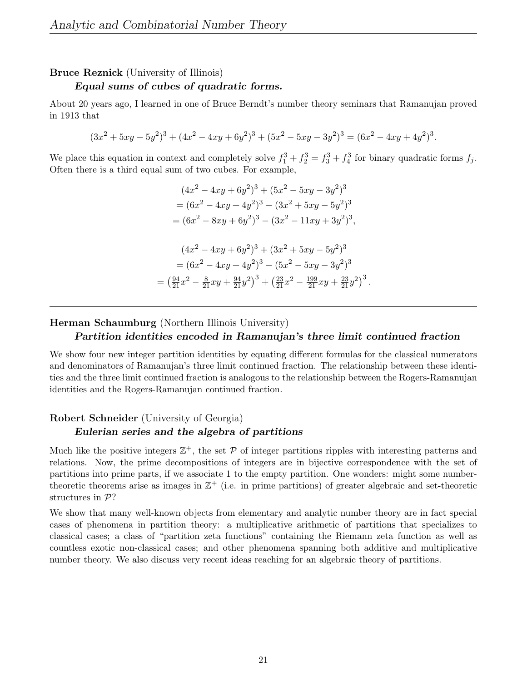#### Bruce Reznick (University of Illinois)

#### Equal sums of cubes of quadratic forms.

About 20 years ago, I learned in one of Bruce Berndt's number theory seminars that Ramanujan proved in 1913 that

$$
(3x2 + 5xy - 5y2)3 + (4x2 - 4xy + 6y2)3 + (5x2 - 5xy - 3y2)3 = (6x2 - 4xy + 4y2)3.
$$

We place this equation in context and completely solve  $f_1^3 + f_2^3 = f_3^3 + f_4^3$  for binary quadratic forms  $f_j$ . Often there is a third equal sum of two cubes. For example,

$$
(4x2 - 4xy + 6y2)3 + (5x2 - 5xy - 3y2)3
$$
  
=  $(6x2 - 4xy + 4y2)3 - (3x2 + 5xy - 5y2)3$   
=  $(6x2 - 8xy + 6y2)3 - (3x2 - 11xy + 3y2)3$ ,  
 $(4x2 - 4xy + 6y2)3 + (3x2 + 5xy - 5y2)3$   
=  $(6x2 - 4xy + 4y2)3 - (5x2 - 5xy - 3y2)3$   
=  $(\frac{94}{21}x2 - \frac{8}{21}xy + \frac{94}{21}y2)3 + (\frac{23}{21}x2 - \frac{199}{21}xy + \frac{23}{21}y2)3$ 

.

Herman Schaumburg (Northern Illinois University)

#### Partition identities encoded in Ramanujan's three limit continued fraction

We show four new integer partition identities by equating different formulas for the classical numerators and denominators of Ramanujan's three limit continued fraction. The relationship between these identities and the three limit continued fraction is analogous to the relationship between the Rogers-Ramanujan identities and the Rogers-Ramanujan continued fraction.

#### Robert Schneider (University of Georgia) Eulerian series and the algebra of partitions

Much like the positive integers  $\mathbb{Z}^+$ , the set  $\mathcal P$  of integer partitions ripples with interesting patterns and relations. Now, the prime decompositions of integers are in bijective correspondence with the set of partitions into prime parts, if we associate 1 to the empty partition. One wonders: might some numbertheoretic theorems arise as images in  $\mathbb{Z}^+$  (i.e. in prime partitions) of greater algebraic and set-theoretic structures in  $\mathcal{P}$ ?

We show that many well-known objects from elementary and analytic number theory are in fact special cases of phenomena in partition theory: a multiplicative arithmetic of partitions that specializes to classical cases; a class of "partition zeta functions" containing the Riemann zeta function as well as countless exotic non-classical cases; and other phenomena spanning both additive and multiplicative number theory. We also discuss very recent ideas reaching for an algebraic theory of partitions.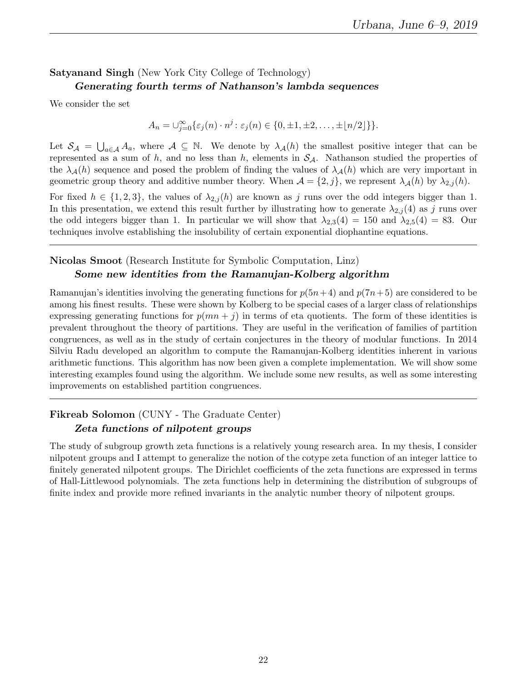## Satyanand Singh (New York City College of Technology) Generating fourth terms of Nathanson's lambda sequences

We consider the set

$$
A_n = \bigcup_{j=0}^{\infty} {\varepsilon_j(n) \cdot n^j : \varepsilon_j(n) \in \{0, \pm 1, \pm 2, \ldots, \pm \lfloor n/2 \rfloor\}}.
$$

Let  $S_A = \bigcup_{a \in A} A_a$ , where  $A \subseteq \mathbb{N}$ . We denote by  $\lambda_A(h)$  the smallest positive integer that can be represented as a sum of h, and no less than h, elements in  $S_A$ . Nathanson studied the properties of the  $\lambda_{\mathcal{A}}(h)$  sequence and posed the problem of finding the values of  $\lambda_{\mathcal{A}}(h)$  which are very important in geometric group theory and additive number theory. When  $\mathcal{A} = \{2, j\}$ , we represent  $\lambda_{\mathcal{A}}(h)$  by  $\lambda_{2,j}(h)$ .

For fixed  $h \in \{1,2,3\}$ , the values of  $\lambda_{2,j}(h)$  are known as j runs over the odd integers bigger than 1. In this presentation, we extend this result further by illustrating how to generate  $\lambda_{2,j}(4)$  as j runs over the odd integers bigger than 1. In particular we will show that  $\lambda_{2,3}(4) = 150$  and  $\lambda_{2,5}(4) = 83$ . Our techniques involve establishing the insolubility of certain exponential diophantine equations.

## Nicolas Smoot (Research Institute for Symbolic Computation, Linz) Some new identities from the Ramanujan-Kolberg algorithm

Ramanujan's identities involving the generating functions for  $p(5n+4)$  and  $p(7n+5)$  are considered to be among his finest results. These were shown by Kolberg to be special cases of a larger class of relationships expressing generating functions for  $p(mn + j)$  in terms of eta quotients. The form of these identities is prevalent throughout the theory of partitions. They are useful in the verification of families of partition congruences, as well as in the study of certain conjectures in the theory of modular functions. In 2014 Silviu Radu developed an algorithm to compute the Ramanujan-Kolberg identities inherent in various arithmetic functions. This algorithm has now been given a complete implementation. We will show some interesting examples found using the algorithm. We include some new results, as well as some interesting improvements on established partition congruences.

## Fikreab Solomon (CUNY - The Graduate Center) Zeta functions of nilpotent groups

The study of subgroup growth zeta functions is a relatively young research area. In my thesis, I consider nilpotent groups and I attempt to generalize the notion of the cotype zeta function of an integer lattice to finitely generated nilpotent groups. The Dirichlet coefficients of the zeta functions are expressed in terms of Hall-Littlewood polynomials. The zeta functions help in determining the distribution of subgroups of finite index and provide more refined invariants in the analytic number theory of nilpotent groups.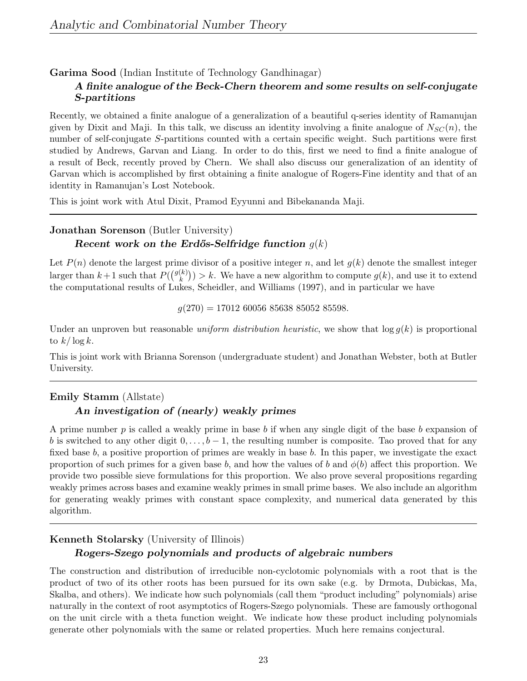#### Garima Sood (Indian Institute of Technology Gandhinagar)

#### A finite analogue of the Beck-Chern theorem and some results on self-conjugate S-partitions

Recently, we obtained a finite analogue of a generalization of a beautiful q-series identity of Ramanujan given by Dixit and Maji. In this talk, we discuss an identity involving a finite analogue of  $N_{SC}(n)$ , the number of self-conjugate S-partitions counted with a certain specific weight. Such partitions were first studied by Andrews, Garvan and Liang. In order to do this, first we need to find a finite analogue of a result of Beck, recently proved by Chern. We shall also discuss our generalization of an identity of Garvan which is accomplished by first obtaining a finite analogue of Rogers-Fine identity and that of an identity in Ramanujan's Lost Notebook.

This is joint work with Atul Dixit, Pramod Eyyunni and Bibekananda Maji.

## Jonathan Sorenson (Butler University) Recent work on the Erdős-Selfridge function  $q(k)$

Let  $P(n)$  denote the largest prime divisor of a positive integer n, and let  $q(k)$  denote the smallest integer larger than  $k+1$  such that  $P({q(k) \choose k}$  $(k)$   $(k)$   $(k)$   $(k)$  and use it to extend  $(k)$ , and use it to extend the computational results of Lukes, Scheidler, and Williams (1997), and in particular we have

 $g(270) = 17012\ 60056\ 85638\ 85052\ 85598.$ 

Under an unproven but reasonable *uniform distribution heuristic*, we show that  $\log q(k)$  is proportional to  $k/\log k$ .

This is joint work with Brianna Sorenson (undergraduate student) and Jonathan Webster, both at Butler University.

## Emily Stamm (Allstate) An investigation of (nearly) weakly primes

A prime number  $p$  is called a weakly prime in base b if when any single digit of the base b expansion of b is switched to any other digit  $0, \ldots, b-1$ , the resulting number is composite. Tao proved that for any fixed base b, a positive proportion of primes are weakly in base b. In this paper, we investigate the exact proportion of such primes for a given base b, and how the values of b and  $\phi(b)$  affect this proportion. We provide two possible sieve formulations for this proportion. We also prove several propositions regarding weakly primes across bases and examine weakly primes in small prime bases. We also include an algorithm for generating weakly primes with constant space complexity, and numerical data generated by this algorithm.

#### Kenneth Stolarsky (University of Illinois)

#### Rogers-Szego polynomials and products of algebraic numbers

The construction and distribution of irreducible non-cyclotomic polynomials with a root that is the product of two of its other roots has been pursued for its own sake (e.g. by Drmota, Dubickas, Ma, Skalba, and others). We indicate how such polynomials (call them "product including" polynomials) arise naturally in the context of root asymptotics of Rogers-Szego polynomials. These are famously orthogonal on the unit circle with a theta function weight. We indicate how these product including polynomials generate other polynomials with the same or related properties. Much here remains conjectural.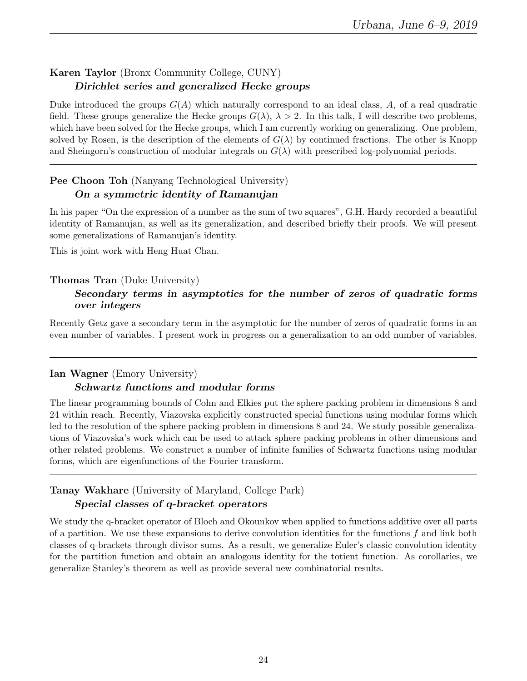## Karen Taylor (Bronx Community College, CUNY) Dirichlet series and generalized Hecke groups

Duke introduced the groups  $G(A)$  which naturally correspond to an ideal class, A, of a real quadratic field. These groups generalize the Hecke groups  $G(\lambda)$ ,  $\lambda > 2$ . In this talk, I will describe two problems, which have been solved for the Hecke groups, which I am currently working on generalizing. One problem, solved by Rosen, is the description of the elements of  $G(\lambda)$  by continued fractions. The other is Knopp and Sheingorn's construction of modular integrals on  $G(\lambda)$  with prescribed log-polynomial periods.

## Pee Choon Toh (Nanyang Technological University) On a symmetric identity of Ramanujan

In his paper "On the expression of a number as the sum of two squares", G.H. Hardy recorded a beautiful identity of Ramanujan, as well as its generalization, and described briefly their proofs. We will present some generalizations of Ramanujan's identity.

This is joint work with Heng Huat Chan.

## Thomas Tran (Duke University)

## Secondary terms in asymptotics for the number of zeros of quadratic forms over integers

Recently Getz gave a secondary term in the asymptotic for the number of zeros of quadratic forms in an even number of variables. I present work in progress on a generalization to an odd number of variables.

#### Ian Wagner (Emory University)

## Schwartz functions and modular forms

The linear programming bounds of Cohn and Elkies put the sphere packing problem in dimensions 8 and 24 within reach. Recently, Viazovska explicitly constructed special functions using modular forms which led to the resolution of the sphere packing problem in dimensions 8 and 24. We study possible generalizations of Viazovska's work which can be used to attack sphere packing problems in other dimensions and other related problems. We construct a number of infinite families of Schwartz functions using modular forms, which are eigenfunctions of the Fourier transform.

## Tanay Wakhare (University of Maryland, College Park) Special classes of q-bracket operators

We study the q-bracket operator of Bloch and Okounkov when applied to functions additive over all parts of a partition. We use these expansions to derive convolution identities for the functions  $f$  and link both classes of q-brackets through divisor sums. As a result, we generalize Euler's classic convolution identity for the partition function and obtain an analogous identity for the totient function. As corollaries, we generalize Stanley's theorem as well as provide several new combinatorial results.